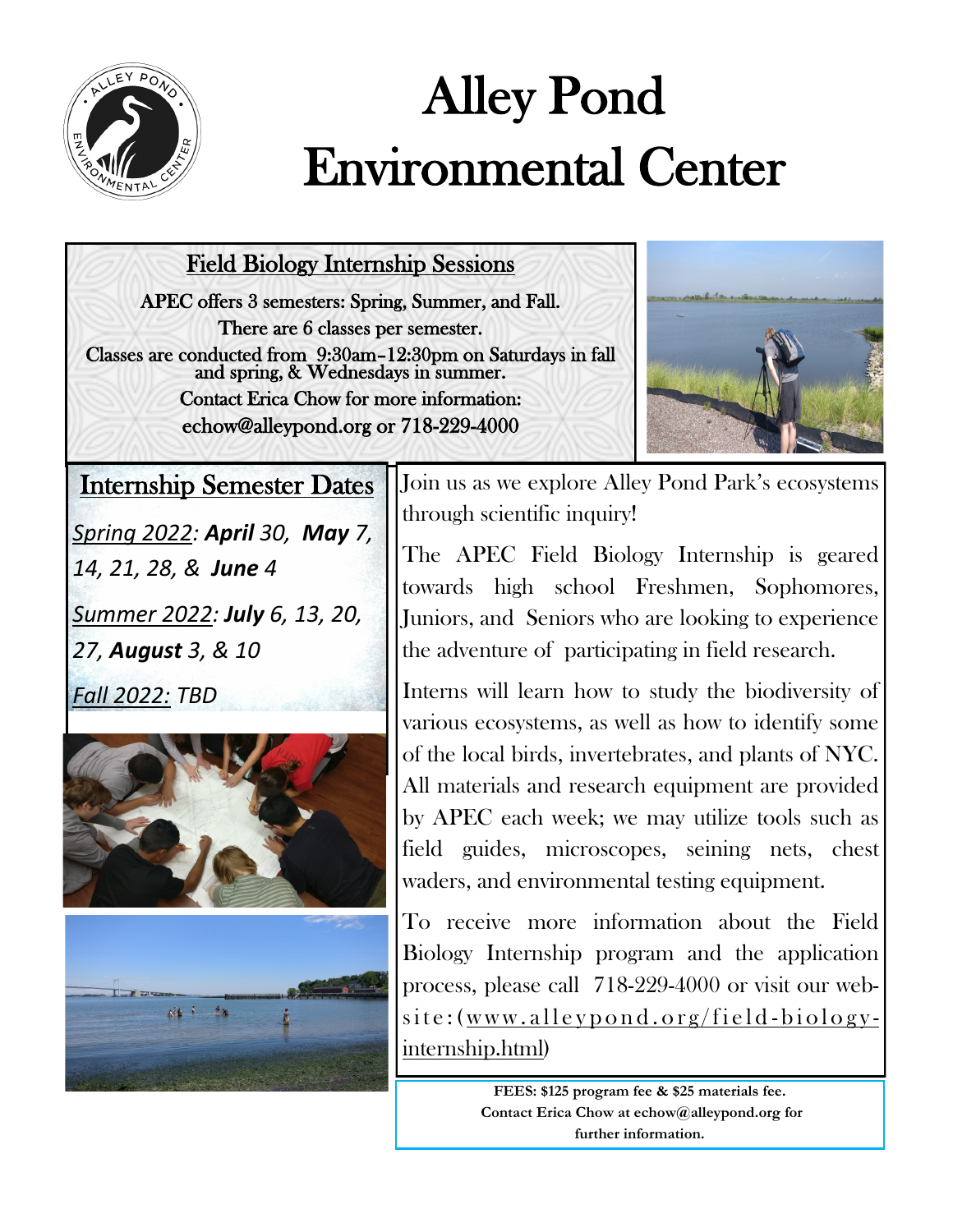

## Alley Pond Environmental Center

Field Biology Internship Sessions

APEC offers 3 semesters: Spring, Summer, and Fall. There are 6 classes per semester. Classes are conducted from 9:30am–12:30pm on Saturdays in fall and spring, & Wednesdays in summer. Contact Erica Chow for more information: echow@alleypond.org or 718-229-4000



Internship Semester Dates

*Spring 2022: April 30, May 7,* 

*14, 21, 28, & June 4*

*Summer 2022: July 6, 13, 20, 27, August 3, & 10*

*Fall 2022: TBD*





Join us as we explore Alley Pond Park's ecosystems through scientific inquiry!

The APEC Field Biology Internship is geared towards high school Freshmen, Sophomores, Juniors, and Seniors who are looking to experience the adventure of participating in field research.

Interns will learn how to study the biodiversity of various ecosystems, as well as how to identify some of the local birds, invertebrates, and plants of NYC. All materials and research equipment are provided by APEC each week; we may utilize tools such as field guides, microscopes, seining nets, chest waders, and environmental testing equipment.

To receive more information about the Field Biology Internship program and the application process, please call 718-229-4000 or visit our web $site:$  (www.alleypond.org/field-biologyinternship.html)

> **FEES: \$125 program fee & \$25 materials fee. Contact Erica Chow at echow@alleypond.org for further information.**